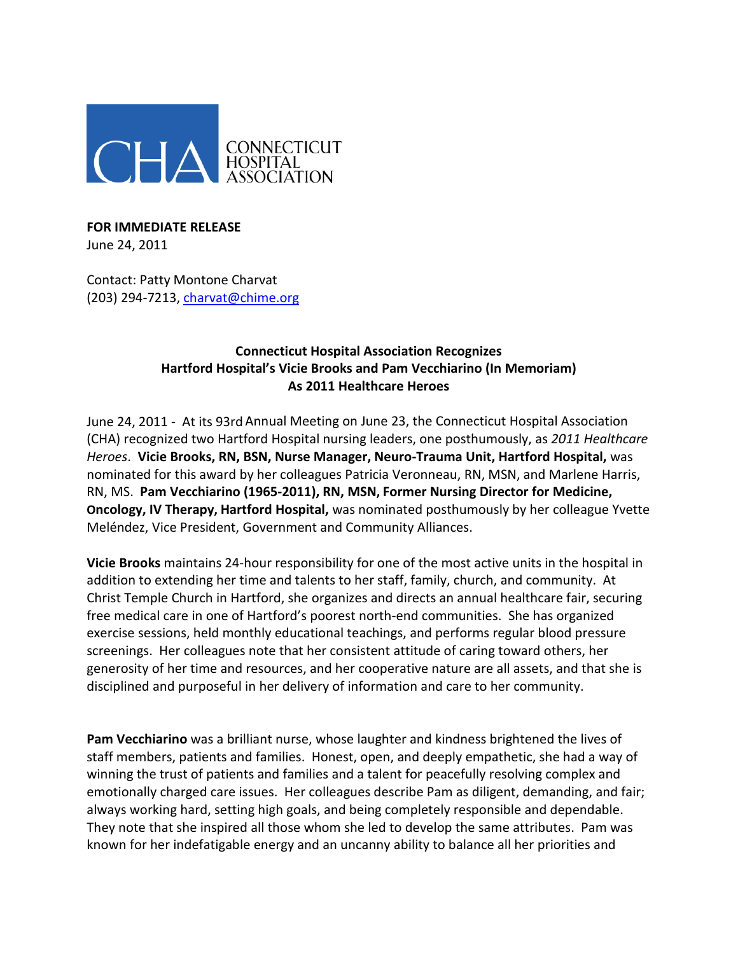

## **FOR IMMEDIATE RELEASE** June 24, 2011

Contact: Patty Montone Charvat (203) 294-7213, [charvat@chime.org](mailto:charvat@chime.org)

## **Connecticut Hospital Association Recognizes Hartford Hospital's Vicie Brooks and Pam Vecchiarino (In Memoriam) As 2011 Healthcare Heroes**

June 24, 2011 - At its 93rd Annual Meeting on June 23, the Connecticut Hospital Association (CHA) recognized two Hartford Hospital nursing leaders, one posthumously, as *2011 Healthcare Heroes*. **Vicie Brooks, RN, BSN, Nurse Manager, Neuro-Trauma Unit, Hartford Hospital,** was nominated for this award by her colleagues Patricia Veronneau, RN, MSN, and Marlene Harris, RN, MS. **Pam Vecchiarino (1965-2011), RN, MSN, Former Nursing Director for Medicine, Oncology, IV Therapy, Hartford Hospital,** was nominated posthumously by her colleague Yvette Meléndez, Vice President, Government and Community Alliances.

**Vicie Brooks** maintains 24-hour responsibility for one of the most active units in the hospital in addition to extending her time and talents to her staff, family, church, and community. At Christ Temple Church in Hartford, she organizes and directs an annual healthcare fair, securing free medical care in one of Hartford's poorest north-end communities. She has organized exercise sessions, held monthly educational teachings, and performs regular blood pressure screenings. Her colleagues note that her consistent attitude of caring toward others, her generosity of her time and resources, and her cooperative nature are all assets, and that she is disciplined and purposeful in her delivery of information and care to her community.

**Pam Vecchiarino** was a brilliant nurse, whose laughter and kindness brightened the lives of staff members, patients and families. Honest, open, and deeply empathetic, she had a way of winning the trust of patients and families and a talent for peacefully resolving complex and emotionally charged care issues. Her colleagues describe Pam as diligent, demanding, and fair; always working hard, setting high goals, and being completely responsible and dependable. They note that she inspired all those whom she led to develop the same attributes. Pam was known for her indefatigable energy and an uncanny ability to balance all her priorities and